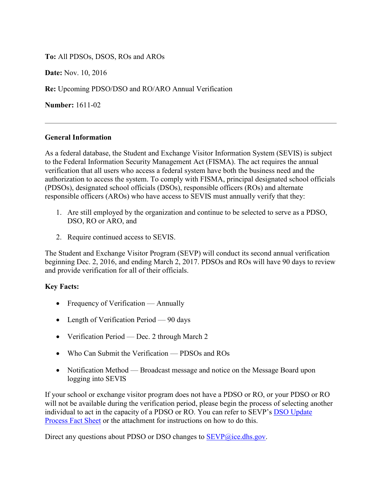**To:** All PDSOs, DSOS, ROs and AROs

**Date:** Nov. 10, 2016

**Re:** Upcoming PDSO/DSO and RO/ARO Annual Verification

**Number:** 1611-02

## **General Information**

As a federal database, the Student and Exchange Visitor Information System (SEVIS) is subject to the Federal Information Security Management Act (FISMA). The act requires the annual verification that all users who access a federal system have both the business need and the authorization to access the system. To comply with FISMA, principal designated school officials (PDSOs), designated school officials (DSOs), responsible officers (ROs) and alternate responsible officers (AROs) who have access to SEVIS must annually verify that they:

- 1. Are still employed by the organization and continue to be selected to serve as a PDSO, DSO, RO or ARO, and
- 2. Require continued access to SEVIS.

The Student and Exchange Visitor Program (SEVP) will conduct its second annual verification beginning Dec. 2, 2016, and ending March 2, 2017. PDSOs and ROs will have 90 days to review and provide verification for all of their officials.

## **Key Facts:**

- Frequency of Verification Annually
- Length of Verification Period 90 days
- Verification Period Dec. 2 through March 2
- Who Can Submit the Verification PDSOs and ROs
- Notification Method Broadcast message and notice on the Message Board upon logging into SEVIS

If your school or exchange visitor program does not have a PDSO or RO, or your PDSO or RO will not be available during the verification period, please begin the process of selecting another individual to act in the capacity of a PDSO or RO. You can refer to SEVP's [DSO Update](https://studyinthestates.dhs.gov/2015/10/school-officials-use-the-updated-dso-process-fact-sheet)  [Process Fact Sheet](https://studyinthestates.dhs.gov/2015/10/school-officials-use-the-updated-dso-process-fact-sheet) or the attachment for instructions on how to do this.

Direct any questions about PDSO or DSO changes to [SEVP@ice.dhs.gov.](mailto:SEVP@ice.dhs.gov)